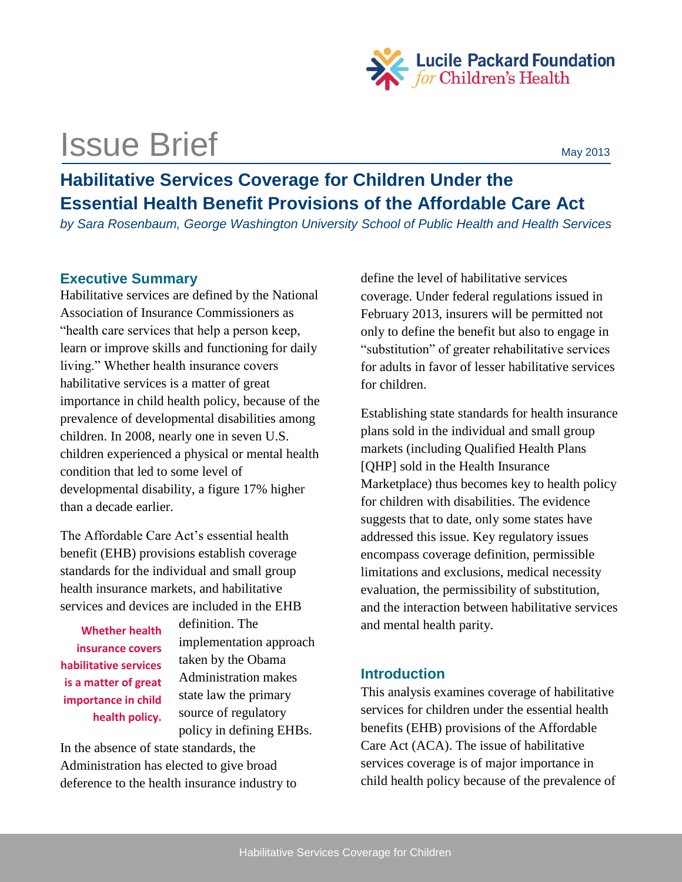

# **ISSUE Brief May 2013**

## **Habilitative Services Coverage for Children Under the Essential Health Benefit Provisions of the Affordable Care Act**

*by Sara Rosenbaum, George Washington University School of Public Health and Health Services*

## **Executive Summary**

Habilitative services are defined by the National Association of Insurance Commissioners as "health care services that help a person keep, learn or improve skills and functioning for daily living." Whether health insurance covers habilitative services is a matter of great importance in child health policy, because of the prevalence of developmental disabilities among children. In 2008, nearly one in seven U.S. children experienced a physical or mental health condition that led to some level of developmental disability, a figure 17% higher than a decade earlier.

The Affordable Care Act's essential health benefit (EHB) provisions establish coverage standards for the individual and small group health insurance markets, and habilitative services and devices are included in the EHB

**Whether health insurance covers habilitative services is a matter of great importance in child health policy.** definition. The implementation approach taken by the Obama Administration makes state law the primary source of regulatory policy in defining EHBs.

In the absence of state standards, the Administration has elected to give broad deference to the health insurance industry to define the level of habilitative services coverage. Under federal regulations issued in February 2013, insurers will be permitted not only to define the benefit but also to engage in "substitution" of greater rehabilitative services for adults in favor of lesser habilitative services for children.

Establishing state standards for health insurance plans sold in the individual and small group markets (including Qualified Health Plans [QHP] sold in the Health Insurance Marketplace) thus becomes key to health policy for children with disabilities. The evidence suggests that to date, only some states have addressed this issue. Key regulatory issues encompass coverage definition, permissible limitations and exclusions, medical necessity evaluation, the permissibility of substitution, and the interaction between habilitative services and mental health parity.

## **Introduction**

This analysis examines coverage of habilitative services for children under the essential health benefits (EHB) provisions of the Affordable Care Act (ACA). The issue of habilitative services coverage is of major importance in child health policy because of the prevalence of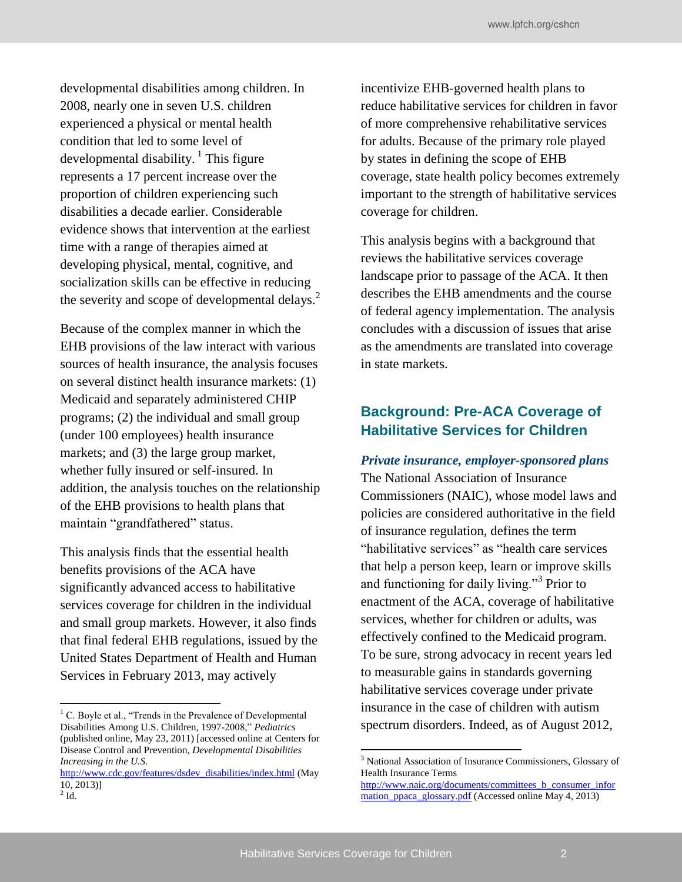developmental disabilities among children. In 2008, nearly one in seven U.S. children experienced a physical or mental health condition that led to some level of developmental disability. <sup>1</sup> This figure represents a 17 percent increase over the proportion of children experiencing such disabilities a decade earlier. Considerable evidence shows that intervention at the earliest time with a range of therapies aimed at developing physical, mental, cognitive, and socialization skills can be effective in reducing the severity and scope of developmental delays.<sup>2</sup>

Because of the complex manner in which the EHB provisions of the law interact with various sources of health insurance, the analysis focuses on several distinct health insurance markets: (1) Medicaid and separately administered CHIP programs; (2) the individual and small group (under 100 employees) health insurance markets; and (3) the large group market, whether fully insured or self-insured. In addition, the analysis touches on the relationship of the EHB provisions to health plans that maintain "grandfathered" status.

This analysis finds that the essential health benefits provisions of the ACA have significantly advanced access to habilitative services coverage for children in the individual and small group markets. However, it also finds that final federal EHB regulations, issued by the United States Department of Health and Human Services in February 2013, may actively

incentivize EHB-governed health plans to reduce habilitative services for children in favor of more comprehensive rehabilitative services for adults. Because of the primary role played by states in defining the scope of EHB coverage, state health policy becomes extremely important to the strength of habilitative services coverage for children.

This analysis begins with a background that reviews the habilitative services coverage landscape prior to passage of the ACA. It then describes the EHB amendments and the course of federal agency implementation. The analysis concludes with a discussion of issues that arise as the amendments are translated into coverage in state markets.

## **Background: Pre-ACA Coverage of Habilitative Services for Children**

#### *Private insurance, employer-sponsored plans*

The National Association of Insurance Commissioners (NAIC), whose model laws and policies are considered authoritative in the field of insurance regulation, defines the term "habilitative services" as "health care services that help a person keep, learn or improve skills and functioning for daily living."<sup>3</sup> Prior to enactment of the ACA, coverage of habilitative services, whether for children or adults, was effectively confined to the Medicaid program. To be sure, strong advocacy in recent years led to measurable gains in standards governing habilitative services coverage under private insurance in the case of children with autism spectrum disorders. Indeed, as of August 2012,

<sup>&</sup>lt;sup>1</sup> C. Boyle et al., "Trends in the Prevalence of Developmental Disabilities Among U.S. Children, 1997-2008," *Pediatrics*  (published online, May 23, 2011) [accessed online at Centers for Disease Control and Prevention, *Developmental Disabilities Increasing in the U.S.* 

[http://www.cdc.gov/features/dsdev\\_disabilities/index.html](http://www.cdc.gov/features/dsdev_disabilities/index.html) (May 10, 2013)]  $2$  Id.

<sup>&</sup>lt;sup>3</sup> National Association of Insurance Commissioners, Glossary of Health Insurance Terms

[http://www.naic.org/documents/committees\\_b\\_consumer\\_infor](http://www.naic.org/documents/committees_b_consumer_information_ppaca_glossary.pdf) [mation\\_ppaca\\_glossary.pdf](http://www.naic.org/documents/committees_b_consumer_information_ppaca_glossary.pdf) (Accessed online May 4, 2013)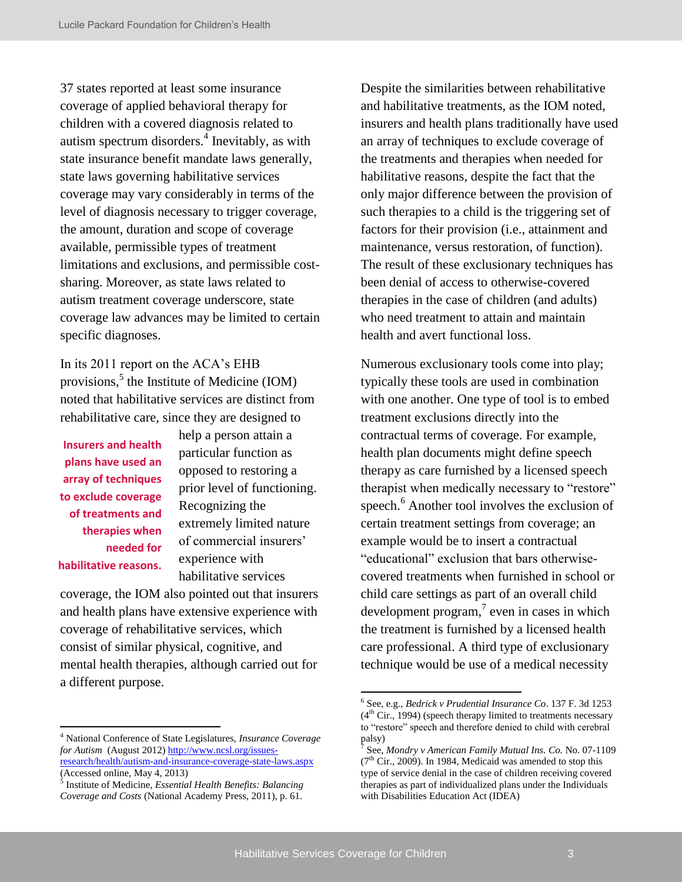37 states reported at least some insurance coverage of applied behavioral therapy for children with a covered diagnosis related to autism spectrum disorders.<sup>4</sup> Inevitably, as with state insurance benefit mandate laws generally, state laws governing habilitative services coverage may vary considerably in terms of the level of diagnosis necessary to trigger coverage, the amount, duration and scope of coverage available, permissible types of treatment limitations and exclusions, and permissible costsharing. Moreover, as state laws related to autism treatment coverage underscore, state coverage law advances may be limited to certain specific diagnoses.

In its 2011 report on the ACA's EHB provisions,<sup>5</sup> the Institute of Medicine (IOM) noted that habilitative services are distinct from rehabilitative care, since they are designed to

**Insurers and health plans have used an array of techniques to exclude coverage of treatments and therapies when needed for habilitative reasons.**

help a person attain a particular function as opposed to restoring a prior level of functioning. Recognizing the extremely limited nature of commercial insurers' experience with habilitative services

coverage, the IOM also pointed out that insurers and health plans have extensive experience with coverage of rehabilitative services, which consist of similar physical, cognitive, and mental health therapies, although carried out for a different purpose.

Despite the similarities between rehabilitative and habilitative treatments, as the IOM noted, insurers and health plans traditionally have used an array of techniques to exclude coverage of the treatments and therapies when needed for habilitative reasons, despite the fact that the only major difference between the provision of such therapies to a child is the triggering set of factors for their provision (i.e., attainment and maintenance, versus restoration, of function). The result of these exclusionary techniques has been denial of access to otherwise-covered therapies in the case of children (and adults) who need treatment to attain and maintain health and avert functional loss.

Numerous exclusionary tools come into play; typically these tools are used in combination with one another. One type of tool is to embed treatment exclusions directly into the contractual terms of coverage. For example, health plan documents might define speech therapy as care furnished by a licensed speech therapist when medically necessary to "restore" speech.<sup>6</sup> Another tool involves the exclusion of certain treatment settings from coverage; an example would be to insert a contractual "educational" exclusion that bars otherwisecovered treatments when furnished in school or child care settings as part of an overall child development program, $\frac{7}{1}$  even in cases in which the treatment is furnished by a licensed health care professional. A third type of exclusionary technique would be use of a medical necessity

<sup>4</sup> National Conference of State Legislatures, *Insurance Coverage for Autism* (August 2012[\) http://www.ncsl.org/issues](http://www.ncsl.org/issues-research/health/autism-and-insurance-coverage-state-laws.aspx)[research/health/autism-and-insurance-coverage-state-laws.aspx](http://www.ncsl.org/issues-research/health/autism-and-insurance-coverage-state-laws.aspx)

<sup>(</sup>Accessed online, May 4, 2013) 5 Institute of Medicine, *Essential Health Benefits: Balancing* 

*Coverage and Costs* (National Academy Press, 2011), p. 61.

<sup>6</sup> See, e.g., *Bedrick v Prudential Insurance Co*. 137 F. 3d 1253  $(4<sup>th</sup> Cir., 1994)$  (speech therapy limited to treatments necessary to "restore" speech and therefore denied to child with cerebral palsy)

<sup>7</sup> See, *Mondry v American Family Mutual Ins. Co.* No. 07-1109  $(7<sup>th</sup> Cir., 2009)$ . In 1984, Medicaid was amended to stop this type of service denial in the case of children receiving covered therapies as part of individualized plans under the Individuals with Disabilities Education Act (IDEA)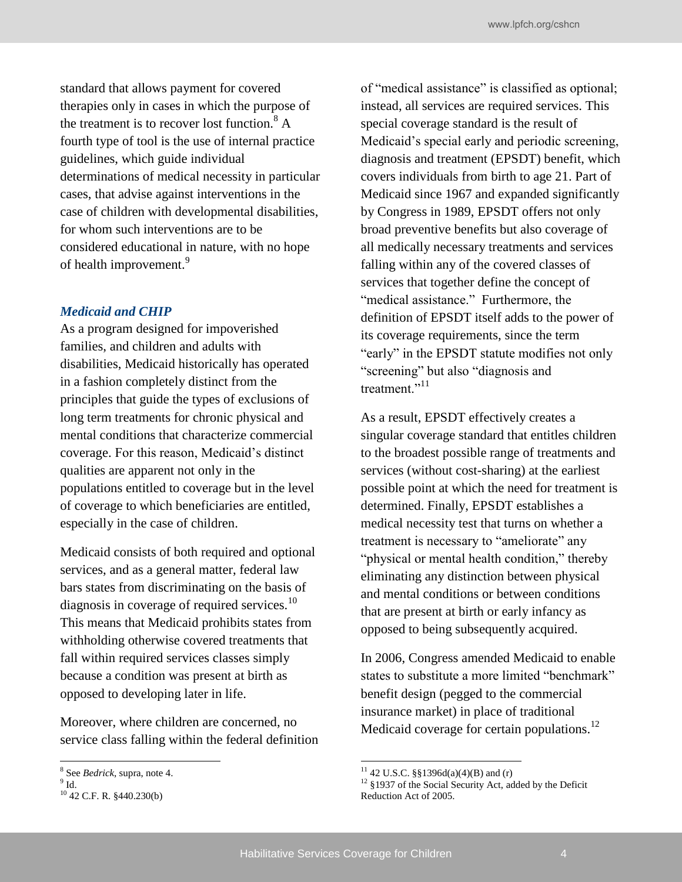standard that allows payment for covered therapies only in cases in which the purpose of the treatment is to recover lost function.<sup>8</sup> A fourth type of tool is the use of internal practice guidelines, which guide individual determinations of medical necessity in particular cases, that advise against interventions in the case of children with developmental disabilities, for whom such interventions are to be considered educational in nature, with no hope of health improvement.<sup>9</sup>

#### *Medicaid and CHIP*

As a program designed for impoverished families, and children and adults with disabilities, Medicaid historically has operated in a fashion completely distinct from the principles that guide the types of exclusions of long term treatments for chronic physical and mental conditions that characterize commercial coverage. For this reason, Medicaid's distinct qualities are apparent not only in the populations entitled to coverage but in the level of coverage to which beneficiaries are entitled, especially in the case of children.

Medicaid consists of both required and optional services, and as a general matter, federal law bars states from discriminating on the basis of diagnosis in coverage of required services.<sup>10</sup> This means that Medicaid prohibits states from withholding otherwise covered treatments that fall within required services classes simply because a condition was present at birth as opposed to developing later in life.

Moreover, where children are concerned, no service class falling within the federal definition of "medical assistance" is classified as optional; instead, all services are required services. This special coverage standard is the result of Medicaid's special early and periodic screening, diagnosis and treatment (EPSDT) benefit, which covers individuals from birth to age 21. Part of Medicaid since 1967 and expanded significantly by Congress in 1989, EPSDT offers not only broad preventive benefits but also coverage of all medically necessary treatments and services falling within any of the covered classes of services that together define the concept of "medical assistance." Furthermore, the definition of EPSDT itself adds to the power of its coverage requirements, since the term "early" in the EPSDT statute modifies not only "screening" but also "diagnosis and treatment<sup>"11</sup>

As a result, EPSDT effectively creates a singular coverage standard that entitles children to the broadest possible range of treatments and services (without cost-sharing) at the earliest possible point at which the need for treatment is determined. Finally, EPSDT establishes a medical necessity test that turns on whether a treatment is necessary to "ameliorate" any "physical or mental health condition," thereby eliminating any distinction between physical and mental conditions or between conditions that are present at birth or early infancy as opposed to being subsequently acquired.

In 2006, Congress amended Medicaid to enable states to substitute a more limited "benchmark" benefit design (pegged to the commercial insurance market) in place of traditional Medicaid coverage for certain populations.<sup>12</sup>

<sup>8</sup> See *Bedrick*, supra, note 4.

 $^9$  Id.

<sup>10</sup> 42 C.F. R. §440.230(b)

<sup>&</sup>lt;sup>11</sup> 42 U.S.C. §§1396d(a)(4)(B) and (r)

 $12 \text{ }$  §1937 of the Social Security Act, added by the Deficit Reduction Act of 2005.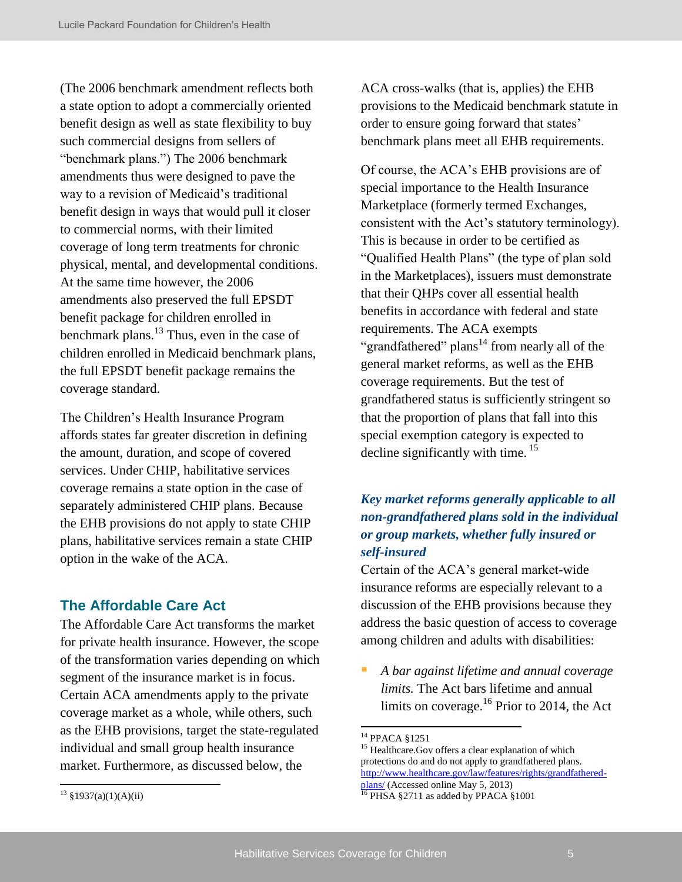(The 2006 benchmark amendment reflects both a state option to adopt a commercially oriented benefit design as well as state flexibility to buy such commercial designs from sellers of "benchmark plans.") The 2006 benchmark amendments thus were designed to pave the way to a revision of Medicaid's traditional benefit design in ways that would pull it closer to commercial norms, with their limited coverage of long term treatments for chronic physical, mental, and developmental conditions. At the same time however, the 2006 amendments also preserved the full EPSDT benefit package for children enrolled in benchmark plans.<sup>13</sup> Thus, even in the case of children enrolled in Medicaid benchmark plans, the full EPSDT benefit package remains the coverage standard.

The Children's Health Insurance Program affords states far greater discretion in defining the amount, duration, and scope of covered services. Under CHIP, habilitative services coverage remains a state option in the case of separately administered CHIP plans. Because the EHB provisions do not apply to state CHIP plans, habilitative services remain a state CHIP option in the wake of the ACA.

### **The Affordable Care Act**

The Affordable Care Act transforms the market for private health insurance. However, the scope of the transformation varies depending on which segment of the insurance market is in focus. Certain ACA amendments apply to the private coverage market as a whole, while others, such as the EHB provisions, target the state-regulated individual and small group health insurance market. Furthermore, as discussed below, the

ACA cross-walks (that is, applies) the EHB provisions to the Medicaid benchmark statute in order to ensure going forward that states' benchmark plans meet all EHB requirements.

Of course, the ACA's EHB provisions are of special importance to the Health Insurance Marketplace (formerly termed Exchanges, consistent with the Act's statutory terminology). This is because in order to be certified as "Qualified Health Plans" (the type of plan sold in the Marketplaces), issuers must demonstrate that their QHPs cover all essential health benefits in accordance with federal and state requirements. The ACA exempts "grandfathered" plans<sup>14</sup> from nearly all of the general market reforms, as well as the EHB coverage requirements. But the test of grandfathered status is sufficiently stringent so that the proportion of plans that fall into this special exemption category is expected to decline significantly with time.  $15$ 

## *Key market reforms generally applicable to all non-grandfathered plans sold in the individual or group markets, whether fully insured or self-insured*

Certain of the ACA's general market-wide insurance reforms are especially relevant to a discussion of the EHB provisions because they address the basic question of access to coverage among children and adults with disabilities:

 *A bar against lifetime and annual coverage limits.* The Act bars lifetime and annual limits on coverage.<sup>16</sup> Prior to 2014, the Act

<sup>14</sup> PPACA §1251

<sup>&</sup>lt;sup>15</sup> Healthcare.Gov offers a clear explanation of which protections do and do not apply to grandfathered plans. [http://www.healthcare.gov/law/features/rights/grandfathered](http://www.healthcare.gov/law/features/rights/grandfathered-plans/)[plans/ \(](http://www.healthcare.gov/law/features/rights/grandfathered-plans/)Accessed online May 5, 2013)

 $\frac{16 \text{ } PHSA \text{ } $2711 \text{ as added by PPACA $1001}$ 

 $13 \frac{\$1937(a)(1)(A)(ii)}{}$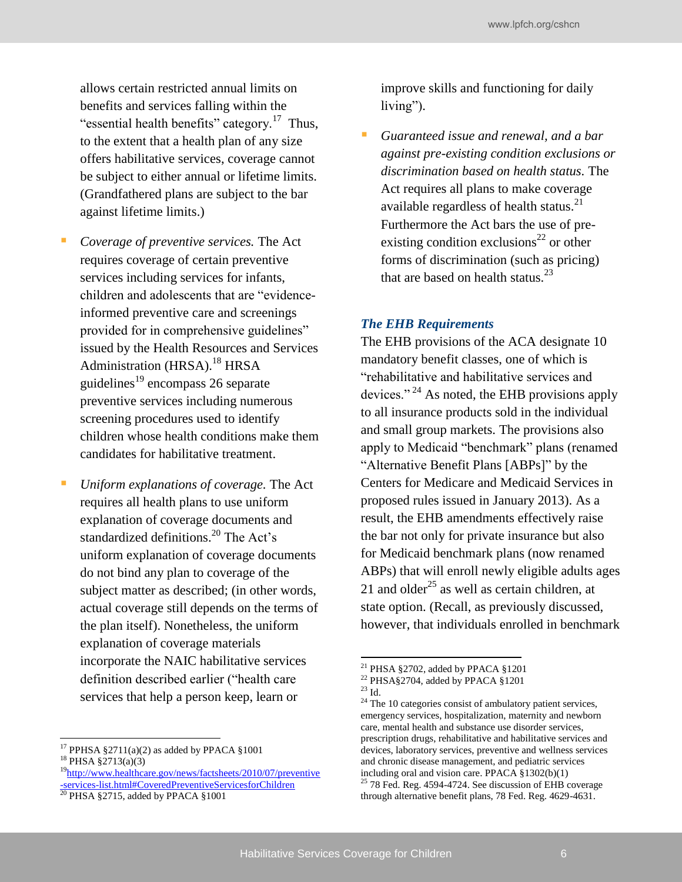allows certain restricted annual limits on benefits and services falling within the "essential health benefits" category.<sup>17</sup> Thus, to the extent that a health plan of any size offers habilitative services, coverage cannot be subject to either annual or lifetime limits. (Grandfathered plans are subject to the bar against lifetime limits.)

- *Coverage of preventive services.* The Act requires coverage of certain preventive services including services for infants, children and adolescents that are "evidenceinformed preventive care and screenings provided for in comprehensive guidelines" issued by the Health Resources and Services Administration (HRSA).<sup>18</sup> HRSA guidelines $^{19}$  encompass 26 separate preventive services including numerous screening procedures used to identify children whose health conditions make them candidates for habilitative treatment.
- *Uniform explanations of coverage.* The Act requires all health plans to use uniform explanation of coverage documents and standardized definitions.<sup>20</sup> The Act's uniform explanation of coverage documents do not bind any plan to coverage of the subject matter as described; (in other words, actual coverage still depends on the terms of the plan itself). Nonetheless, the uniform explanation of coverage materials incorporate the NAIC habilitative services definition described earlier ("health care services that help a person keep, learn or

<sup>17</sup> PPHSA §2711(a)(2) as added by PPACA §1001

<sup>19</sup>[http://www.healthcare.gov/news/factsheets/2010/07/preventive](http://www.healthcare.gov/news/factsheets/2010/07/preventive-services-list.html#CoveredPreventiveServicesforChildren) [-services-list.html#CoveredPreventiveServicesforChildren](http://www.healthcare.gov/news/factsheets/2010/07/preventive-services-list.html#CoveredPreventiveServicesforChildren)

improve skills and functioning for daily living").

 *Guaranteed issue and renewal, and a bar against pre-existing condition exclusions or discrimination based on health status.* The Act requires all plans to make coverage available regardless of health status. $21$ Furthermore the Act bars the use of preexisting condition exclusions<sup>22</sup> or other forms of discrimination (such as pricing) that are based on health status. $^{23}$ 

#### *The EHB Requirements*

The EHB provisions of the ACA designate 10 mandatory benefit classes, one of which is "rehabilitative and habilitative services and devices." <sup>24</sup> As noted, the EHB provisions apply to all insurance products sold in the individual and small group markets. The provisions also apply to Medicaid "benchmark" plans (renamed "Alternative Benefit Plans [ABPs]" by the Centers for Medicare and Medicaid Services in proposed rules issued in January 2013). As a result, the EHB amendments effectively raise the bar not only for private insurance but also for Medicaid benchmark plans (now renamed ABPs) that will enroll newly eligible adults ages 21 and older<sup>25</sup> as well as certain children, at state option. (Recall, as previously discussed, however, that individuals enrolled in benchmark

<sup>18</sup> PHSA §2713(a)(3)

 $20$  PHSA §2715, added by PPACA §1001

<sup>21</sup> PHSA §2702, added by PPACA §1201

<sup>22</sup> PHSA§2704, added by PPACA §1201

 $^{23}$  Id.  $\,$ 

 $24$  The 10 categories consist of ambulatory patient services, emergency services, hospitalization, maternity and newborn care, mental health and substance use disorder services, prescription drugs, rehabilitative and habilitative services and devices, laboratory services, preventive and wellness services and chronic disease management, and pediatric services including oral and vision care. PPACA §1302(b)(1)  $25$  78 Fed. Reg. 4594-4724. See discussion of EHB coverage through alternative benefit plans, 78 Fed. Reg. 4629-4631.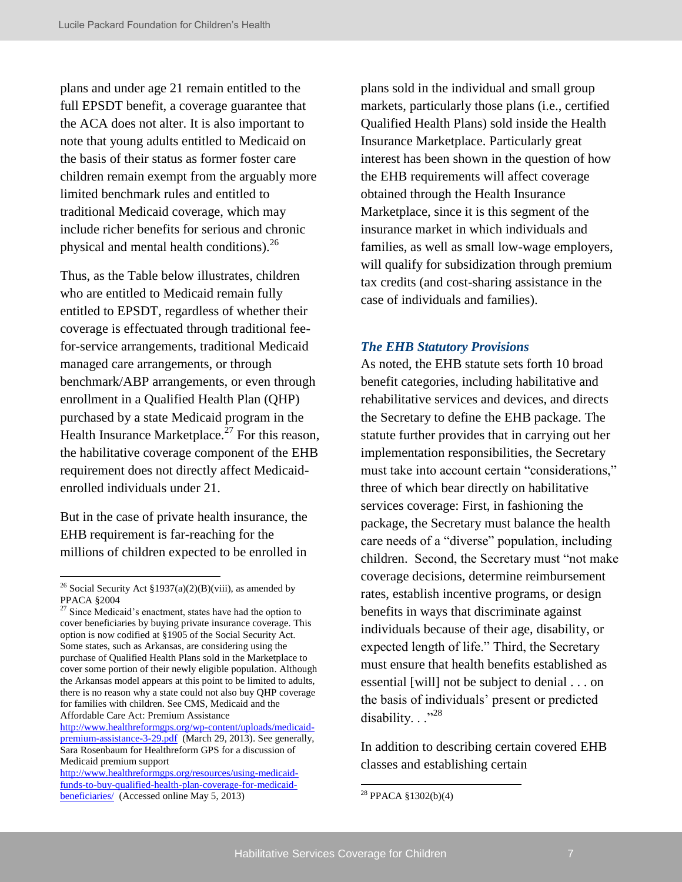plans and under age 21 remain entitled to the full EPSDT benefit, a coverage guarantee that the ACA does not alter. It is also important to note that young adults entitled to Medicaid on the basis of their status as former foster care children remain exempt from the arguably more limited benchmark rules and entitled to traditional Medicaid coverage, which may include richer benefits for serious and chronic physical and mental health conditions).<sup>26</sup>

Thus, as the Table below illustrates, children who are entitled to Medicaid remain fully entitled to EPSDT, regardless of whether their coverage is effectuated through traditional feefor-service arrangements, traditional Medicaid managed care arrangements, or through benchmark/ABP arrangements, or even through enrollment in a Qualified Health Plan (QHP) purchased by a state Medicaid program in the Health Insurance Marketplace.<sup>27</sup> For this reason, the habilitative coverage component of the EHB requirement does not directly affect Medicaidenrolled individuals under 21.

But in the case of private health insurance, the EHB requirement is far-reaching for the millions of children expected to be enrolled in

[http://www.healthreformgps.org/wp-content/uploads/medicaid](http://www.healthreformgps.org/wp-content/uploads/medicaid-premium-assistance-3-29.pdf)[premium-assistance-3-29.pdf](http://www.healthreformgps.org/wp-content/uploads/medicaid-premium-assistance-3-29.pdf) (March 29, 2013). See generally, Sara Rosenbaum for Healthreform GPS for a discussion of Medicaid premium support

plans sold in the individual and small group markets, particularly those plans (i.e., certified Qualified Health Plans) sold inside the Health Insurance Marketplace. Particularly great interest has been shown in the question of how the EHB requirements will affect coverage obtained through the Health Insurance Marketplace, since it is this segment of the insurance market in which individuals and families, as well as small low-wage employers, will qualify for subsidization through premium tax credits (and cost-sharing assistance in the case of individuals and families).

#### *The EHB Statutory Provisions*

As noted, the EHB statute sets forth 10 broad benefit categories, including habilitative and rehabilitative services and devices, and directs the Secretary to define the EHB package. The statute further provides that in carrying out her implementation responsibilities, the Secretary must take into account certain "considerations," three of which bear directly on habilitative services coverage: First, in fashioning the package, the Secretary must balance the health care needs of a "diverse" population, including children. Second, the Secretary must "not make coverage decisions, determine reimbursement rates, establish incentive programs, or design benefits in ways that discriminate against individuals because of their age, disability, or expected length of life." Third, the Secretary must ensure that health benefits established as essential [will] not be subject to denial . . . on the basis of individuals' present or predicted disability. . ."28

In addition to describing certain covered EHB classes and establishing certain

<sup>&</sup>lt;sup>26</sup> Social Security Act §1937(a)(2)(B)(viii), as amended by PPACA §2004

<sup>&</sup>lt;sup>27</sup> Since Medicaid's enactment, states have had the option to cover beneficiaries by buying private insurance coverage. This option is now codified at §1905 of the Social Security Act. Some states, such as Arkansas, are considering using the purchase of Qualified Health Plans sold in the Marketplace to cover some portion of their newly eligible population. Although the Arkansas model appears at this point to be limited to adults, there is no reason why a state could not also buy QHP coverage for families with children. See CMS, Medicaid and the Affordable Care Act: Premium Assistance

[http://www.healthreformgps.org/resources/using-medicaid](http://www.healthreformgps.org/resources/using-medicaid-funds-to-buy-qualified-health-plan-coverage-for-medicaid-beneficiaries/)[funds-to-buy-qualified-health-plan-coverage-for-medicaid](http://www.healthreformgps.org/resources/using-medicaid-funds-to-buy-qualified-health-plan-coverage-for-medicaid-beneficiaries/)[beneficiaries/](http://www.healthreformgps.org/resources/using-medicaid-funds-to-buy-qualified-health-plan-coverage-for-medicaid-beneficiaries/) (Accessed online May 5, 2013)

<sup>28</sup> PPACA §1302(b)(4)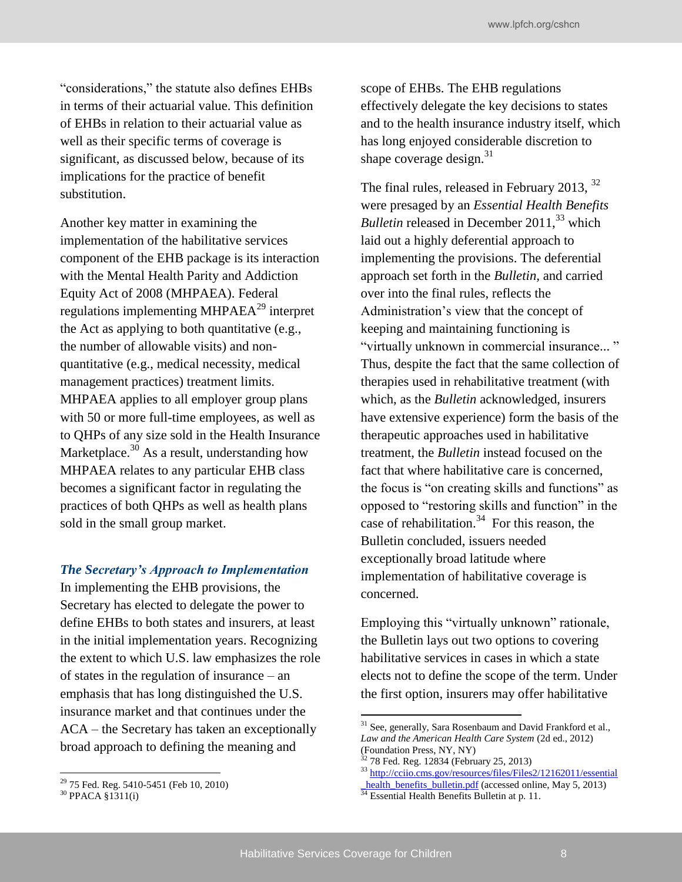"considerations," the statute also defines EHBs in terms of their actuarial value. This definition of EHBs in relation to their actuarial value as well as their specific terms of coverage is significant, as discussed below, because of its implications for the practice of benefit substitution.

Another key matter in examining the implementation of the habilitative services component of the EHB package is its interaction with the Mental Health Parity and Addiction Equity Act of 2008 (MHPAEA). Federal regulations implementing MHPAEA $^{29}$  interpret the Act as applying to both quantitative (e.g., the number of allowable visits) and nonquantitative (e.g., medical necessity, medical management practices) treatment limits. MHPAEA applies to all employer group plans with 50 or more full-time employees, as well as to QHPs of any size sold in the Health Insurance Marketplace. $30$  As a result, understanding how MHPAEA relates to any particular EHB class becomes a significant factor in regulating the practices of both QHPs as well as health plans sold in the small group market.

#### *The Secretary's Approach to Implementation*

In implementing the EHB provisions, the Secretary has elected to delegate the power to define EHBs to both states and insurers, at least in the initial implementation years. Recognizing the extent to which U.S. law emphasizes the role of states in the regulation of insurance – an emphasis that has long distinguished the U.S. insurance market and that continues under the ACA – the Secretary has taken an exceptionally broad approach to defining the meaning and

scope of EHBs. The EHB regulations effectively delegate the key decisions to states and to the health insurance industry itself, which has long enjoyed considerable discretion to shape coverage design. $31$ 

The final rules, released in February 2013, <sup>32</sup> were presaged by an *Essential Health Benefits Bulletin* released in December 2011,<sup>33</sup> which laid out a highly deferential approach to implementing the provisions. The deferential approach set forth in the *Bulletin,* and carried over into the final rules, reflects the Administration's view that the concept of keeping and maintaining functioning is "virtually unknown in commercial insurance... " Thus, despite the fact that the same collection of therapies used in rehabilitative treatment (with which, as the *Bulletin* acknowledged, insurers have extensive experience) form the basis of the therapeutic approaches used in habilitative treatment, the *Bulletin* instead focused on the fact that where habilitative care is concerned, the focus is "on creating skills and functions" as opposed to "restoring skills and function" in the case of rehabilitation.<sup>34</sup> For this reason, the Bulletin concluded, issuers needed exceptionally broad latitude where implementation of habilitative coverage is concerned.

Employing this "virtually unknown" rationale, the Bulletin lays out two options to covering habilitative services in cases in which a state elects not to define the scope of the term. Under the first option, insurers may offer habilitative

<sup>29</sup> 75 Fed. Reg. 5410-5451 (Feb 10, 2010)

<sup>30</sup> PPACA §1311(i)

 $31$  See, generally, Sara Rosenbaum and David Frankford et al., *Law and the American Health Care System* (2d ed., 2012) (Foundation Press, NY, NY)

 $32$  78 Fed. Reg. 12834 (February 25, 2013)

<sup>&</sup>lt;sup>33</sup> http://cciio.cms.gov/resources/files/Files2/12162011/essential

health\_benefits\_bulletin.pdf (accessed online, May 5, 2013)

<sup>&</sup>lt;sup>34</sup> Essential Health Benefits Bulletin at p. 11.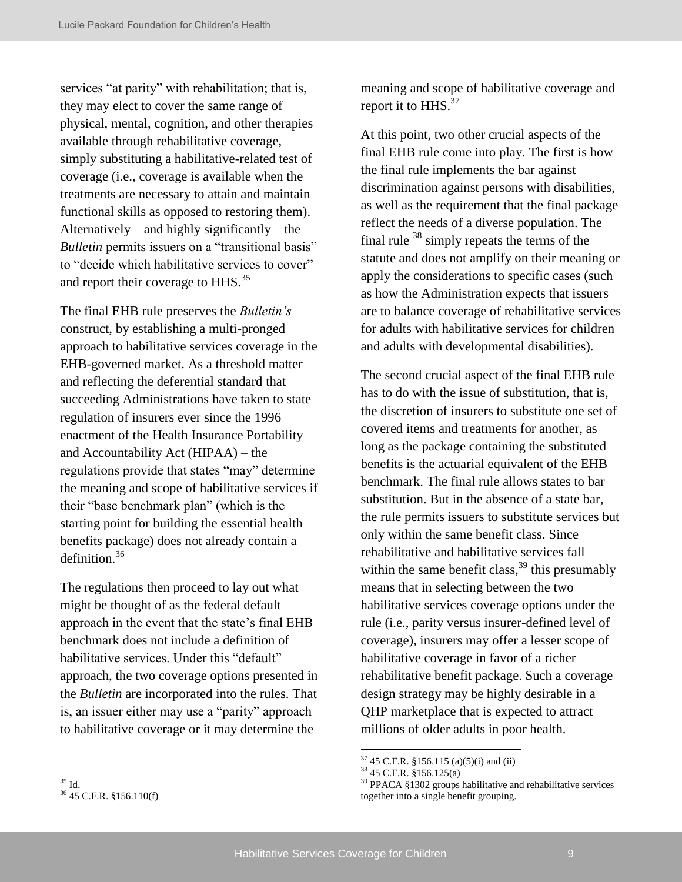services "at parity" with rehabilitation; that is, they may elect to cover the same range of physical, mental, cognition, and other therapies available through rehabilitative coverage, simply substituting a habilitative-related test of coverage (i.e., coverage is available when the treatments are necessary to attain and maintain functional skills as opposed to restoring them). Alternatively – and highly significantly – the *Bulletin* permits issuers on a "transitional basis" to "decide which habilitative services to cover" and report their coverage to HHS.<sup>35</sup>

The final EHB rule preserves the *Bulletin's*  construct, by establishing a multi-pronged approach to habilitative services coverage in the EHB-governed market. As a threshold matter – and reflecting the deferential standard that succeeding Administrations have taken to state regulation of insurers ever since the 1996 enactment of the Health Insurance Portability and Accountability Act (HIPAA) – the regulations provide that states "may" determine the meaning and scope of habilitative services if their "base benchmark plan" (which is the starting point for building the essential health benefits package) does not already contain a definition.<sup>36</sup>

The regulations then proceed to lay out what might be thought of as the federal default approach in the event that the state's final EHB benchmark does not include a definition of habilitative services. Under this "default" approach, the two coverage options presented in the *Bulletin* are incorporated into the rules. That is, an issuer either may use a "parity" approach to habilitative coverage or it may determine the

meaning and scope of habilitative coverage and report it to  $HHS$ <sup>37</sup>

At this point, two other crucial aspects of the final EHB rule come into play. The first is how the final rule implements the bar against discrimination against persons with disabilities, as well as the requirement that the final package reflect the needs of a diverse population. The final rule  $38 \sinh y$  repeats the terms of the statute and does not amplify on their meaning or apply the considerations to specific cases (such as how the Administration expects that issuers are to balance coverage of rehabilitative services for adults with habilitative services for children and adults with developmental disabilities).

The second crucial aspect of the final EHB rule has to do with the issue of substitution, that is, the discretion of insurers to substitute one set of covered items and treatments for another, as long as the package containing the substituted benefits is the actuarial equivalent of the EHB benchmark. The final rule allows states to bar substitution. But in the absence of a state bar, the rule permits issuers to substitute services but only within the same benefit class. Since rehabilitative and habilitative services fall within the same benefit class,  $39$  this presumably means that in selecting between the two habilitative services coverage options under the rule (i.e., parity versus insurer-defined level of coverage), insurers may offer a lesser scope of habilitative coverage in favor of a richer rehabilitative benefit package. Such a coverage design strategy may be highly desirable in a QHP marketplace that is expected to attract millions of older adults in poor health.

 $37$  45 C.F.R. §156.115 (a)(5)(i) and (ii)

 $38\,45$  C.F.R.  $\S 156.125(a)$ 

<sup>39</sup> PPACA §1302 groups habilitative and rehabilitative services together into a single benefit grouping.

<sup>35</sup> Id.

<sup>36</sup> 45 C.F.R. §156.110(f)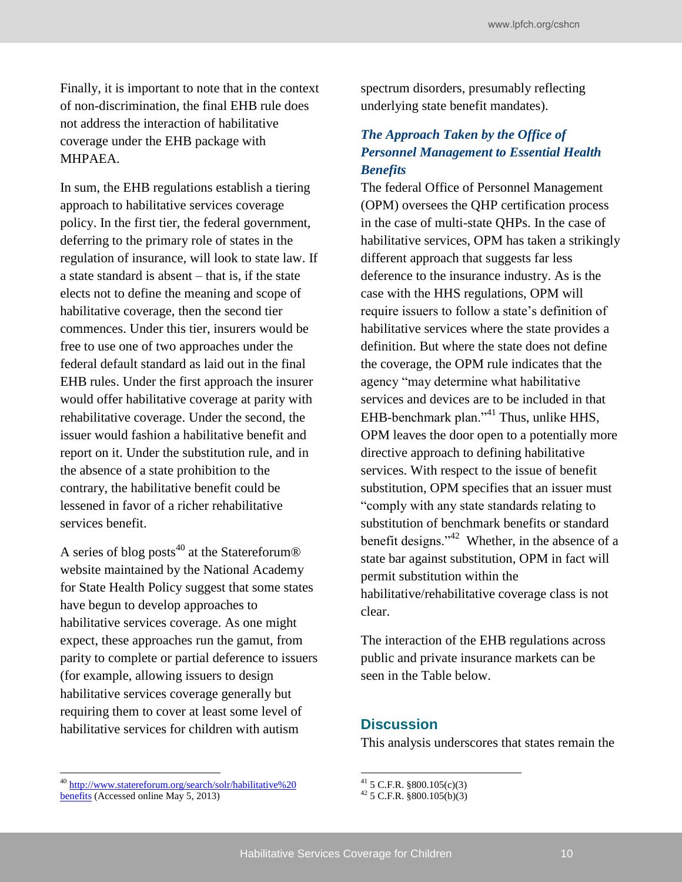Finally, it is important to note that in the context of non-discrimination, the final EHB rule does not address the interaction of habilitative coverage under the EHB package with MHPAEA.

In sum, the EHB regulations establish a tiering approach to habilitative services coverage policy. In the first tier, the federal government, deferring to the primary role of states in the regulation of insurance, will look to state law. If a state standard is absent – that is, if the state elects not to define the meaning and scope of habilitative coverage, then the second tier commences. Under this tier, insurers would be free to use one of two approaches under the federal default standard as laid out in the final EHB rules. Under the first approach the insurer would offer habilitative coverage at parity with rehabilitative coverage. Under the second, the issuer would fashion a habilitative benefit and report on it. Under the substitution rule, and in the absence of a state prohibition to the contrary, the habilitative benefit could be lessened in favor of a richer rehabilitative services benefit.

A series of blog posts<sup>40</sup> at the Statereforum<sup>®</sup> website maintained by the National Academy for State Health Policy suggest that some states have begun to develop approaches to habilitative services coverage. As one might expect, these approaches run the gamut, from parity to complete or partial deference to issuers (for example, allowing issuers to design habilitative services coverage generally but requiring them to cover at least some level of habilitative services for children with autism

<sup>40</sup> [http://www.statereforum.org/search/solr/habilitative%20](http://www.statereforum.org/search/solr/habilitative%20benefits)  [benefits \(](http://www.statereforum.org/search/solr/habilitative%20benefits)Accessed online May 5, 2013)

spectrum disorders, presumably reflecting underlying state benefit mandates).

### *The Approach Taken by the Office of Personnel Management to Essential Health Benefits*

The federal Office of Personnel Management (OPM) oversees the QHP certification process in the case of multi-state QHPs. In the case of habilitative services, OPM has taken a strikingly different approach that suggests far less deference to the insurance industry. As is the case with the HHS regulations, OPM will require issuers to follow a state's definition of habilitative services where the state provides a definition. But where the state does not define the coverage, the OPM rule indicates that the agency "may determine what habilitative services and devices are to be included in that EHB-benchmark plan."<sup>41</sup> Thus, unlike HHS, OPM leaves the door open to a potentially more directive approach to defining habilitative services. With respect to the issue of benefit substitution, OPM specifies that an issuer must "comply with any state standards relating to substitution of benchmark benefits or standard benefit designs." $42$  Whether, in the absence of a state bar against substitution, OPM in fact will permit substitution within the habilitative/rehabilitative coverage class is not clear.

The interaction of the EHB regulations across public and private insurance markets can be seen in the Table below.

#### **Discussion**

This analysis underscores that states remain the

 $41$  5 C.F.R. §800.105(c)(3)

 $42$  5 C.F.R. §800.105(b)(3)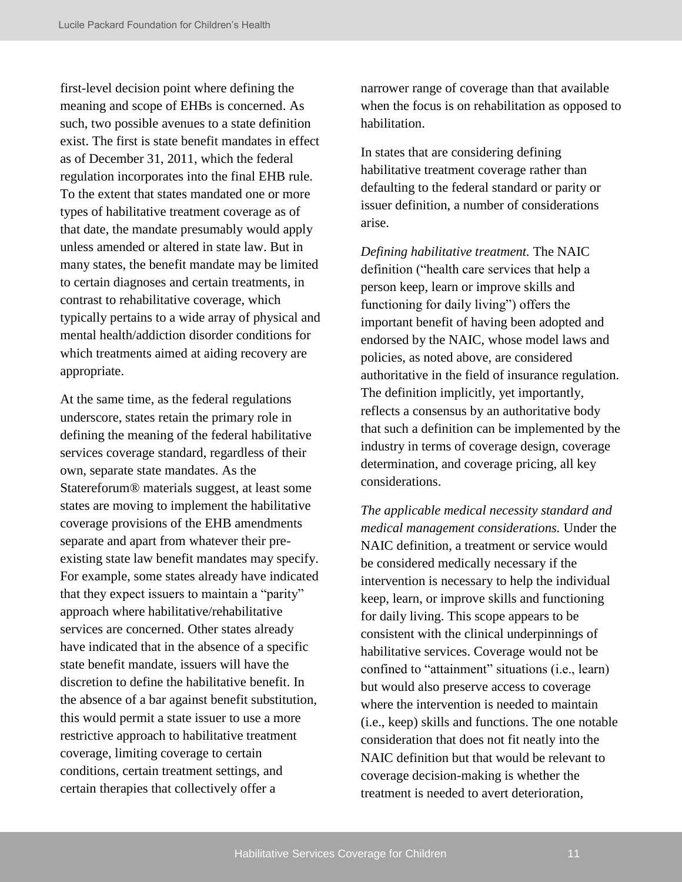first-level decision point where defining the meaning and scope of EHBs is concerned. As such, two possible avenues to a state definition exist. The first is state benefit mandates in effect as of December 31, 2011, which the federal regulation incorporates into the final EHB rule. To the extent that states mandated one or more types of habilitative treatment coverage as of that date, the mandate presumably would apply unless amended or altered in state law. But in many states, the benefit mandate may be limited to certain diagnoses and certain treatments, in contrast to rehabilitative coverage, which typically pertains to a wide array of physical and mental health/addiction disorder conditions for which treatments aimed at aiding recovery are appropriate.

At the same time, as the federal regulations underscore, states retain the primary role in defining the meaning of the federal habilitative services coverage standard, regardless of their own, separate state mandates. As the Statereforum® materials suggest, at least some states are moving to implement the habilitative coverage provisions of the EHB amendments separate and apart from whatever their preexisting state law benefit mandates may specify. For example, some states already have indicated that they expect issuers to maintain a "parity" approach where habilitative/rehabilitative services are concerned. Other states already have indicated that in the absence of a specific state benefit mandate, issuers will have the discretion to define the habilitative benefit. In the absence of a bar against benefit substitution, this would permit a state issuer to use a more restrictive approach to habilitative treatment coverage, limiting coverage to certain conditions, certain treatment settings, and certain therapies that collectively offer a

narrower range of coverage than that available when the focus is on rehabilitation as opposed to habilitation.

In states that are considering defining habilitative treatment coverage rather than defaulting to the federal standard or parity or issuer definition, a number of considerations arise.

*Defining habilitative treatment.* The NAIC definition ("health care services that help a person keep, learn or improve skills and functioning for daily living") offers the important benefit of having been adopted and endorsed by the NAIC, whose model laws and policies, as noted above, are considered authoritative in the field of insurance regulation. The definition implicitly, yet importantly, reflects a consensus by an authoritative body that such a definition can be implemented by the industry in terms of coverage design, coverage determination, and coverage pricing, all key considerations.

*The applicable medical necessity standard and medical management considerations.* Under the NAIC definition, a treatment or service would be considered medically necessary if the intervention is necessary to help the individual keep, learn, or improve skills and functioning for daily living. This scope appears to be consistent with the clinical underpinnings of habilitative services. Coverage would not be confined to "attainment" situations (i.e., learn) but would also preserve access to coverage where the intervention is needed to maintain (i.e., keep) skills and functions. The one notable consideration that does not fit neatly into the NAIC definition but that would be relevant to coverage decision-making is whether the treatment is needed to avert deterioration,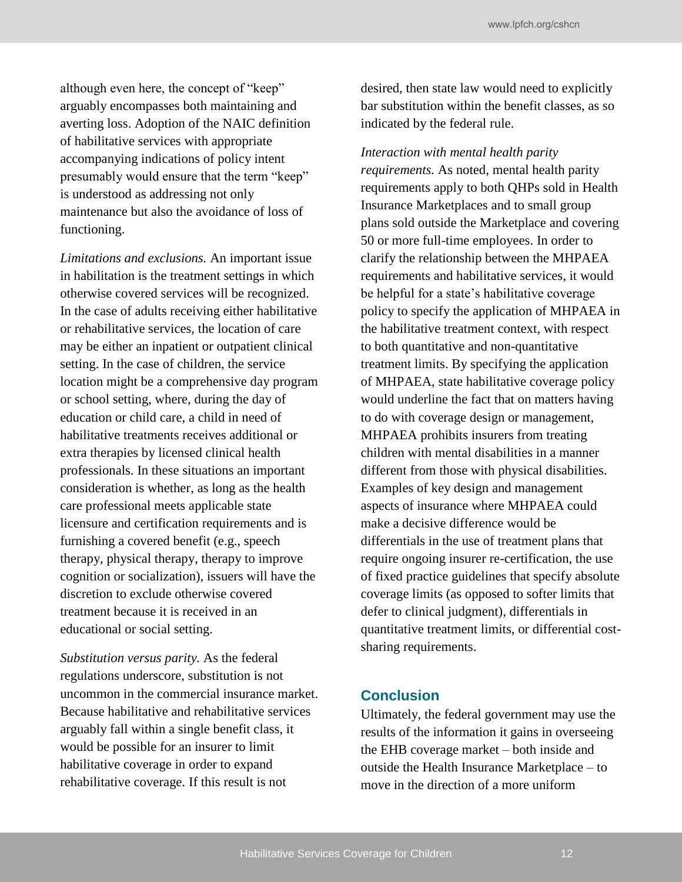although even here, the concept of "keep" arguably encompasses both maintaining and averting loss. Adoption of the NAIC definition of habilitative services with appropriate accompanying indications of policy intent presumably would ensure that the term "keep" is understood as addressing not only maintenance but also the avoidance of loss of functioning.

*Limitations and exclusions.* An important issue in habilitation is the treatment settings in which otherwise covered services will be recognized. In the case of adults receiving either habilitative or rehabilitative services, the location of care may be either an inpatient or outpatient clinical setting. In the case of children, the service location might be a comprehensive day program or school setting, where, during the day of education or child care, a child in need of habilitative treatments receives additional or extra therapies by licensed clinical health professionals. In these situations an important consideration is whether, as long as the health care professional meets applicable state licensure and certification requirements and is furnishing a covered benefit (e.g., speech therapy, physical therapy, therapy to improve cognition or socialization), issuers will have the discretion to exclude otherwise covered treatment because it is received in an educational or social setting.

*Substitution versus parity.* As the federal regulations underscore, substitution is not uncommon in the commercial insurance market. Because habilitative and rehabilitative services arguably fall within a single benefit class, it would be possible for an insurer to limit habilitative coverage in order to expand rehabilitative coverage. If this result is not

desired, then state law would need to explicitly bar substitution within the benefit classes, as so indicated by the federal rule.

*Interaction with mental health parity* 

*requirements.* As noted, mental health parity requirements apply to both QHPs sold in Health Insurance Marketplaces and to small group plans sold outside the Marketplace and covering 50 or more full-time employees. In order to clarify the relationship between the MHPAEA requirements and habilitative services, it would be helpful for a state's habilitative coverage policy to specify the application of MHPAEA in the habilitative treatment context, with respect to both quantitative and non-quantitative treatment limits. By specifying the application of MHPAEA, state habilitative coverage policy would underline the fact that on matters having to do with coverage design or management, MHPAEA prohibits insurers from treating children with mental disabilities in a manner different from those with physical disabilities. Examples of key design and management aspects of insurance where MHPAEA could make a decisive difference would be differentials in the use of treatment plans that require ongoing insurer re-certification, the use of fixed practice guidelines that specify absolute coverage limits (as opposed to softer limits that defer to clinical judgment), differentials in quantitative treatment limits, or differential costsharing requirements.

#### **Conclusion**

Ultimately, the federal government may use the results of the information it gains in overseeing the EHB coverage market – both inside and outside the Health Insurance Marketplace – to move in the direction of a more uniform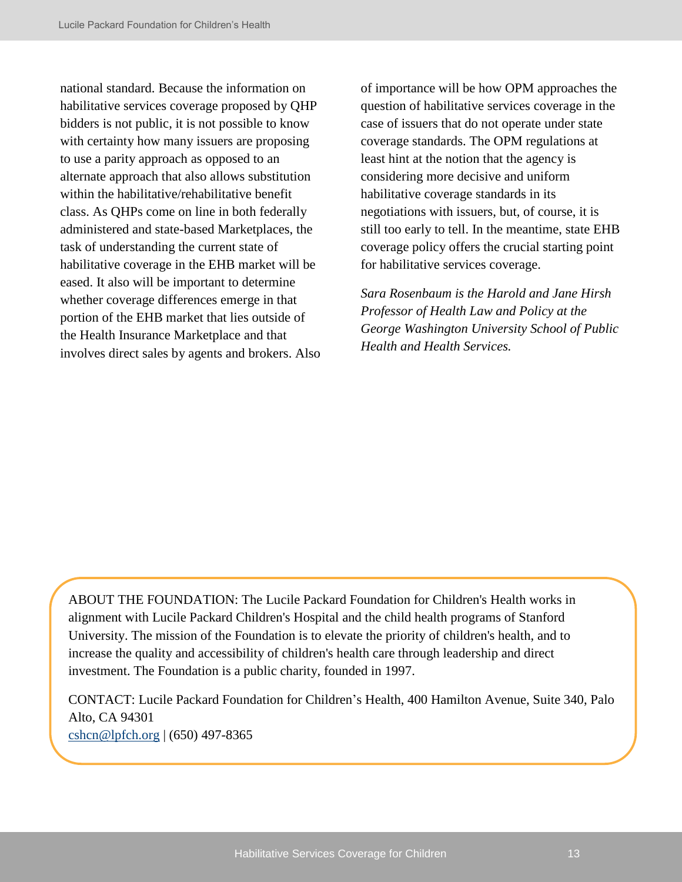national standard. Because the information on habilitative services coverage proposed by QHP bidders is not public, it is not possible to know with certainty how many issuers are proposing to use a parity approach as opposed to an alternate approach that also allows substitution within the habilitative/rehabilitative benefit class. As QHPs come on line in both federally administered and state-based Marketplaces, the task of understanding the current state of habilitative coverage in the EHB market will be eased. It also will be important to determine whether coverage differences emerge in that portion of the EHB market that lies outside of the Health Insurance Marketplace and that involves direct sales by agents and brokers. Also of importance will be how OPM approaches the question of habilitative services coverage in the case of issuers that do not operate under state coverage standards. The OPM regulations at least hint at the notion that the agency is considering more decisive and uniform habilitative coverage standards in its negotiations with issuers, but, of course, it is still too early to tell. In the meantime, state EHB coverage policy offers the crucial starting point for habilitative services coverage.

*Sara Rosenbaum is the Harold and Jane Hirsh Professor of Health Law and Policy at the George Washington University School of Public Health and Health Services.*

ABOUT THE FOUNDATION: The Lucile Packard Foundation for Children's Health works in alignment with Lucile Packard Children's Hospital and the child health programs of Stanford University. The mission of the Foundation is to elevate the priority of children's health, and to increase the quality and accessibility of children's health care through leadership and direct investment. The Foundation is a public charity, founded in 1997.

CONTACT: Lucile Packard Foundation for Children's Health, 400 Hamilton Avenue, Suite 340, Palo Alto, CA 94301 [cshcn@lpfch.org](mailto:cshcn@lpfch.org) | (650) 497-8365